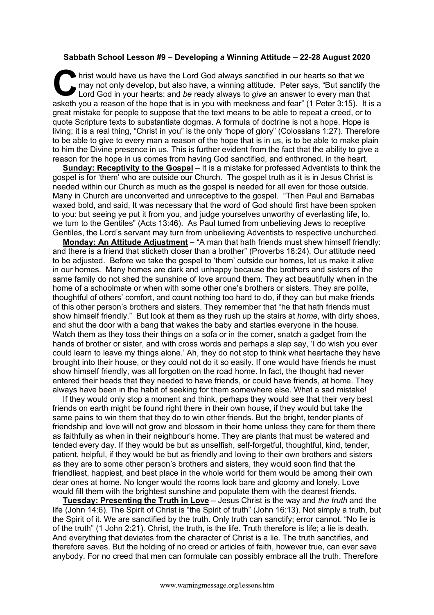## **Sabbath School Lesson #9 – Developing** *a* **Winning Attitude – 22-28 August 2020**

hrist would have us have the Lord God always sanctified in our hearts so that we may not only develop, but also have, a winning attitude. Peter says, "But sanctify Lord God in your hearts: and be ready always to *give* an may not only develop, but also have, a winning attitude. Peter says, "But sanctify the Lord God in your hearts: and *be* ready always to *give* an answer to every man that asketh you a reason of the hope that is in you with meekness and fear" (1 Peter 3:15). It is a great mistake for people to suppose that the text means to be able to repeat a creed, or to quote Scripture texts to substantiate dogmas. A formula of doctrine is not a hope. Hope is living; it is a real thing, "Christ in you" is the only "hope of glory" (Colossians 1:27). Therefore to be able to give to every man a reason of the hope that is in us, is to be able to make plain to him the Divine presence in us. This is further evident from the fact that the ability to give a reason for the hope in us comes from having God sanctified, and enthroned, in the heart.

**Sunday: Receptivity to the Gospel** – It is a mistake for professed Adventists to think the gospel is for 'them' who are outside our Church. The gospel truth as it is in Jesus Christ is needed within our Church as much as the gospel is needed for all even for those outside. Many in Church are unconverted and unreceptive to the gospel. "Then Paul and Barnabas waxed bold, and said, It was necessary that the word of God should first have been spoken to you: but seeing ye put it from you, and judge yourselves unworthy of everlasting life, lo, we turn to the Gentiles" (Acts 13:46). As Paul turned from unbelieving Jews to receptive Gentiles, the Lord's servant may turn from unbelieving Adventists to respective unchurched.

**Monday: An Attitude Adjustment** – "A man that hath friends must shew himself friendly: and there is a friend that sticketh closer than a brother" (Proverbs 18:24). Our attitude need to be adjusted. Before we take the gospel to 'them' outside our homes, let us make it alive in our homes. Many homes are dark and unhappy because the brothers and sisters of the same family do not shed the sunshine of love around them. They act beautifully when in the home of a schoolmate or when with some other one's brothers or sisters. They are polite, thoughtful of others' comfort, and count nothing too hard to do, if they can but make friends of this other person's brothers and sisters. They remember that "he that hath friends must show himself friendly." But look at them as they rush up the stairs at *home*, with dirty shoes, and shut the door with a bang that wakes the baby and startles everyone in the house. Watch them as they toss their things on a sofa or in the corner, snatch a gadget from the hands of brother or sister, and with cross words and perhaps a slap say, 'I do wish you ever could learn to leave my things alone.' Ah, they do not stop to think what heartache they have brought into their house, or they could not do it so easily. If one would have friends he must show himself friendly, was all forgotten on the road home. In fact, the thought had never entered their heads that they needed to have friends, or could have friends, at home. They always have been in the habit of seeking for them somewhere else. What a sad mistake!

If they would only stop a moment and think, perhaps they would see that their very best friends on earth might be found right there in their own house, if they would but take the same pains to win them that they do to win other friends. But the bright, tender plants of friendship and love will not grow and blossom in their home unless they care for them there as faithfully as when in their neighbour's home. They are plants that must be watered and tended every day. If they would be but as unselfish, self-forgetful, thoughtful, kind, tender, patient, helpful, if they would be but as friendly and loving to their own brothers and sisters as they are to some other person's brothers and sisters, they would soon find that the friendliest, happiest, and best place in the whole world for them would be among their own dear ones at home. No longer would the rooms look bare and gloomy and lonely. Love would fill them with the brightest sunshine and populate them with the dearest friends.

**Tuesday: Presenting the Truth in Love** – Jesus Christ is the way and *the truth* and the life (John 14:6). The Spirit of Christ is "the Spirit of truth" (John 16:13). Not simply a truth, but the Spirit of it. We are sanctified by the truth. Only truth can sanctify; error cannot. "No lie is of the truth" (1 John 2:21). Christ, the truth, is the life. Truth therefore is life; a lie is death. And everything that deviates from the character of Christ is a lie. The truth sanctifies, and therefore saves. But the holding of no creed or articles of faith, however true, can ever save anybody. For no creed that men can formulate can possibly embrace all the truth. Therefore